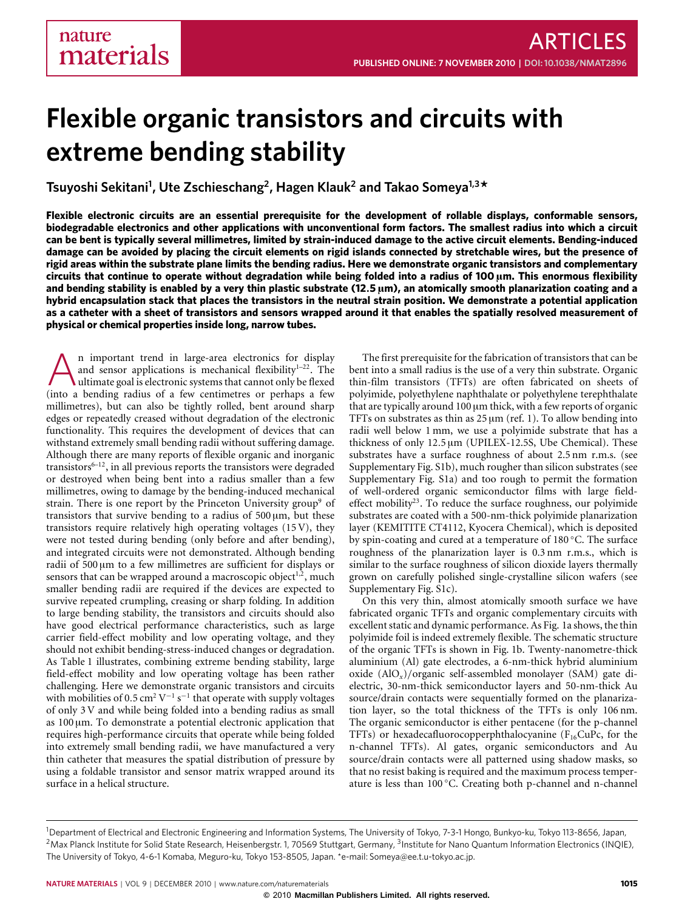# **Flexible organic transistors and circuits with extreme bending stability**

**Tsuyoshi Sekitani<sup>1</sup> , Ute Zschieschang<sup>2</sup> , Hagen Klauk<sup>2</sup> and Takao Someya1,3\***

**Flexible electronic circuits are an essential prerequisite for the development of rollable displays, conformable sensors, biodegradable electronics and other applications with unconventional form factors. The smallest radius into which a circuit can be bent is typically several millimetres, limited by strain-induced damage to the active circuit elements. Bending-induced damage can be avoided by placing the circuit elements on rigid islands connected by stretchable wires, but the presence of rigid areas within the substrate plane limits the bending radius. Here we demonstrate organic transistors and complementary circuits that continue to operate without degradation while being folded into a radius of 100** µ**m. This enormous flexibility and bending stability is enabled by a very thin plastic substrate (12**.**5** µ**m), an atomically smooth planarization coating and a hybrid encapsulation stack that places the transistors in the neutral strain position. We demonstrate a potential application as a catheter with a sheet of transistors and sensors wrapped around it that enables the spatially resolved measurement of physical or chemical properties inside long, narrow tubes.**

 $\sum_{n=1}^{\infty}$  and sensor applications is mechanical flexibility<sup>1-22</sup>. The ultimate goal is electronic systems that cannot only be flexed (into a bending radius of a few centimetres or perhaps a few n important trend in large-area electronics for display and sensor applications is mechanical flexibility $1-22$  $1-22$ . The ultimate goal is electronic systems that cannot only be flexed millimetres), but can also be tightly rolled, bent around sharp edges or repeatedly creased without degradation of the electronic functionality. This requires the development of devices that can withstand extremely small bending radii without suffering damage. Although there are many reports of flexible organic and inorganic transistors $6-12$  $6-12$ , in all previous reports the transistors were degraded or destroyed when being bent into a radius smaller than a few millimetres, owing to damage by the bending-induced mechanical strain. There is one report by the Princeton University group<sup>[9](#page-6-4)</sup> of transistors that survive bending to a radius of  $500 \mu m$ , but these transistors require relatively high operating voltages (15 V), they were not tested during bending (only before and after bending), and integrated circuits were not demonstrated. Although bending radii of  $500 \mu m$  to a few millimetres are sufficient for displays or sensors that can be wrapped around a macroscopic object<sup>[1](#page-6-0)[,2](#page-6-5)</sup>, much smaller bending radii are required if the devices are expected to survive repeated crumpling, creasing or sharp folding. In addition to large bending stability, the transistors and circuits should also have good electrical performance characteristics, such as large carrier field-effect mobility and low operating voltage, and they should not exhibit bending-stress-induced changes or degradation. As [Table](#page-1-0) [1](#page-1-0) illustrates, combining extreme bending stability, large field-effect mobility and low operating voltage has been rather challenging. Here we demonstrate organic transistors and circuits with mobilities of 0.5 cm<sup>2</sup> V<sup>-1</sup> s<sup>-1</sup> that operate with supply voltages of only 3 V and while being folded into a bending radius as small as 100 µm. To demonstrate a potential electronic application that requires high-performance circuits that operate while being folded into extremely small bending radii, we have manufactured a very thin catheter that measures the spatial distribution of pressure by using a foldable transistor and sensor matrix wrapped around its surface in a helical structure.

The first prerequisite for the fabrication of transistors that can be bent into a small radius is the use of a very thin substrate. Organic thin-film transistors (TFTs) are often fabricated on sheets of polyimide, polyethylene naphthalate or polyethylene terephthalate that are typically around 100 µm thick, with a few reports of organic TFTs on substrates as thin as  $25 \mu m$  (ref. [1\)](#page-6-0). To allow bending into radii well below 1 mm, we use a polyimide substrate that has a thickness of only 12.5 µm (UPILEX-12.5S, Ube Chemical). These substrates have a surface roughness of about 2.5 nm r.m.s. (see Supplementary Fig. S1b), much rougher than silicon substrates (see Supplementary Fig. S1a) and too rough to permit the formation of well-ordered organic semiconductor films with large field-effect mobility<sup>[23](#page-6-6)</sup>. To reduce the surface roughness, our polyimide substrates are coated with a 500-nm-thick polyimide planarization layer (KEMITITE CT4112, Kyocera Chemical), which is deposited by spin-coating and cured at a temperature of 180 ◦C. The surface roughness of the planarization layer is 0.3 nm r.m.s., which is similar to the surface roughness of silicon dioxide layers thermally grown on carefully polished single-crystalline silicon wafers (see Supplementary Fig. S1c).

On this very thin, almost atomically smooth surface we have fabricated organic TFTs and organic complementary circuits with excellent static and dynamic performance. As [Fig.](#page-1-1) [1a](#page-1-1) shows, the thin polyimide foil is indeed extremely flexible. The schematic structure of the organic TFTs is shown in [Fig.](#page-1-1) [1b](#page-1-1). Twenty-nanometre-thick aluminium (Al) gate electrodes, a 6-nm-thick hybrid aluminium oxide (AlO*x*)/organic self-assembled monolayer (SAM) gate dielectric, 30-nm-thick semiconductor layers and 50-nm-thick Au source/drain contacts were sequentially formed on the planarization layer, so the total thickness of the TFTs is only 106 nm. The organic semiconductor is either pentacene (for the p-channel TFTs) or hexadecafluorocopperphthalocyanine ( $F_{16}CuPc$ , for the n-channel TFTs). Al gates, organic semiconductors and Au source/drain contacts were all patterned using shadow masks, so that no resist baking is required and the maximum process temperature is less than 100 ◦C. Creating both p-channel and n-channel

<sup>1</sup>Department of Electrical and Electronic Engineering and Information Systems, The University of Tokyo, 7-3-1 Hongo, Bunkyo-ku, Tokyo 113-8656, Japan, <sup>2</sup>Max Planck Institute for Solid State Research, Heisenbergstr. 1, 70569 Stuttgart, Germany, <sup>3</sup>Institute for Nano Quantum Information Electronics (INQIE), The University of Tokyo, 4-6-1 Komaba, Meguro-ku, Tokyo 153-8505, Japan. \*e-mail: [Someya@ee.t.u-tokyo.ac.jp.](mailto:Someya@ee.t.u-tokyo.ac.jp)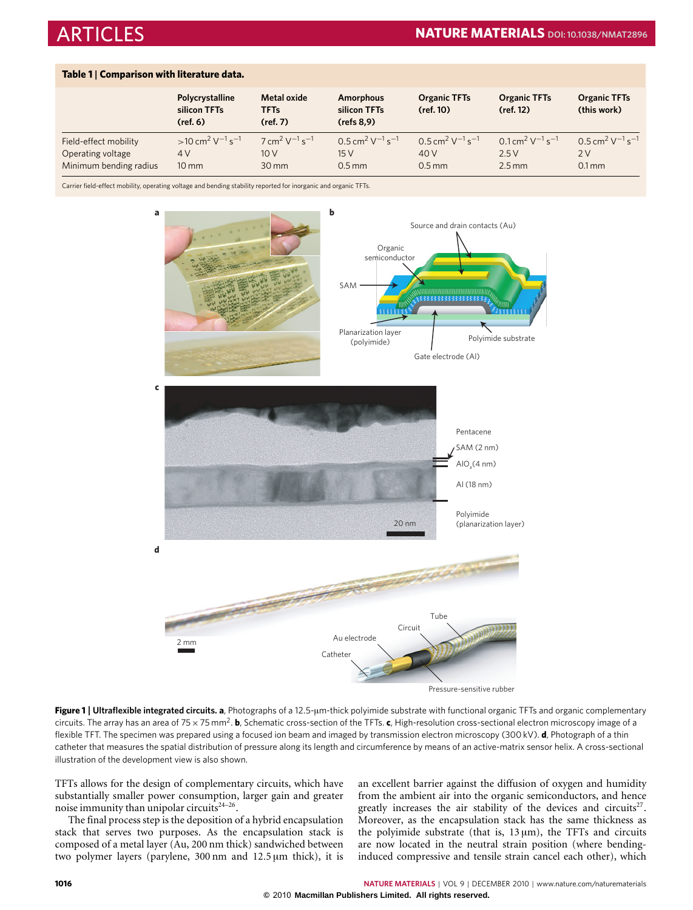<span id="page-1-0"></span>

|  |  | Table 1   Comparison with literature data. |  |
|--|--|--------------------------------------------|--|
|--|--|--------------------------------------------|--|

|                        | Polycrystalline<br>silicon TFTs<br>(ref, 6) | <b>Metal oxide</b><br><b>TFTs</b><br>(ref, 7) | <b>Amorphous</b><br>silicon TFTs<br>(refs 8, 9) | <b>Organic TFTs</b><br>(ref. 10)                | <b>Organic TFTs</b><br>(ref. 12)                      | <b>Organic TFTs</b><br>(this work)              |
|------------------------|---------------------------------------------|-----------------------------------------------|-------------------------------------------------|-------------------------------------------------|-------------------------------------------------------|-------------------------------------------------|
| Field-effect mobility  | $>10 cm^2 V^{-1} s^{-1}$                    | $7 \text{ cm}^2 \text{ V}^{-1} \text{s}^{-1}$ | $0.5 \text{ cm}^2 \text{ V}^{-1} \text{s}^{-1}$ | $0.5 \text{ cm}^2 \text{ V}^{-1} \text{s}^{-1}$ | $0.1$ cm <sup>2</sup> V <sup>-1</sup> s <sup>-1</sup> | $0.5 \text{ cm}^2 \text{ V}^{-1} \text{s}^{-1}$ |
| Operating voltage      | 4 V                                         | 10V                                           | 15V                                             | 40 V                                            | 2.5V                                                  | 2V                                              |
| Minimum bending radius | $10 \, \text{mm}$                           | $30 \,\mathrm{mm}$                            | $0.5$ mm                                        | $0.5$ mm                                        | $2.5$ mm                                              | $0.1$ mm                                        |

Carrier field-effect mobility, operating voltage and bending stability reported for inorganic and organic TFTs.



Pressure-sensitive rubber

<span id="page-1-1"></span>**Figure 1** | **Ultraflexible integrated circuits. a**, Photographs of a 12.5-µm-thick polyimide substrate with functional organic TFTs and organic complementary circuits. The array has an area of 75 × 75 mm<sup>2</sup>. **b**, Schematic cross-section of the TFTs. **c**, High-resolution cross-sectional electron microscopy image of a flexible TFT. The specimen was prepared using a focused ion beam and imaged by transmission electron microscopy (300 kV). **d**, Photograph of a thin catheter that measures the spatial distribution of pressure along its length and circumference by means of an active-matrix sensor helix. A cross-sectional illustration of the development view is also shown.

TFTs allows for the design of complementary circuits, which have substantially smaller power consumption, larger gain and greater noise immunity than unipolar circuits<sup>[24](#page-7-0)-26</sup>.

The final process step is the deposition of a hybrid encapsulation stack that serves two purposes. As the encapsulation stack is composed of a metal layer (Au, 200 nm thick) sandwiched between two polymer layers (parylene, 300 nm and 12.5 µm thick), it is an excellent barrier against the diffusion of oxygen and humidity from the ambient air into the organic semiconductors, and hence greatly increases the air stability of the devices and circuits<sup>[27](#page-7-2)</sup>. Moreover, as the encapsulation stack has the same thickness as the polyimide substrate (that is,  $13 \mu m$ ), the TFTs and circuits are now located in the neutral strain position (where bendinginduced compressive and tensile strain cancel each other), which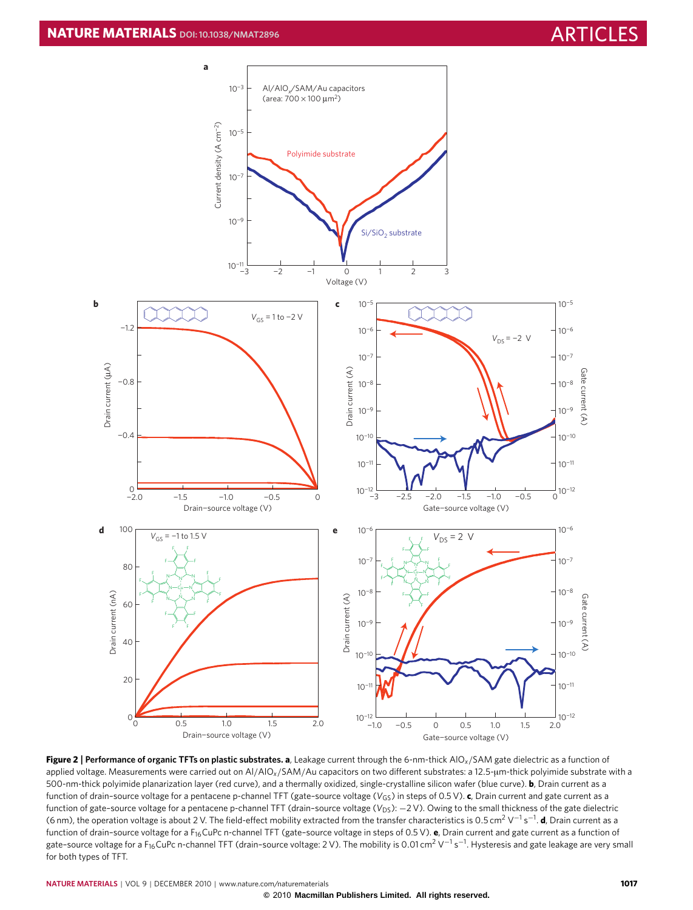

<span id="page-2-0"></span>**Figure 2** | **Performance of organic TFTs on plastic substrates. a**, Leakage current through the 6-nm-thick AlO*x*/SAM gate dielectric as a function of applied voltage. Measurements were carried out on Al/AlO*x*/SAM/Au capacitors on two different substrates: a 12.5-µm-thick polyimide substrate with a 500-nm-thick polyimide planarization layer (red curve), and a thermally oxidized, single-crystalline silicon wafer (blue curve). **b**, Drain current as a function of drain–source voltage for a pentacene p-channel TFT (gate–source voltage (*V*GS) in steps of 0.5 V). **c**, Drain current and gate current as a function of gate-source voltage for a pentacene p-channel TFT (drain-source voltage (V<sub>DS</sub>): -2 V). Owing to the small thickness of the gate dielectric (6 nm), the operation voltage is about 2 V. The field-effect mobility extracted from the transfer characteristics is 0.5 cm<sup>2</sup> V<sup>-1</sup> s<sup>-1</sup>. **d**, Drain current as a function of drain-source voltage for a F<sub>16</sub>CuPc n-channel TFT (gate-source voltage in steps of 0.5 V). **e**, Drain current and gate current as a function of gate-source voltage for a F<sub>16</sub> CuPc n-channel TFT (drain-source voltage: 2 V). The mobility is 0.01 cm<sup>2</sup> V<sup>-1</sup> s<sup>-1</sup>. Hysteresis and gate leakage are very small for both types of TFT.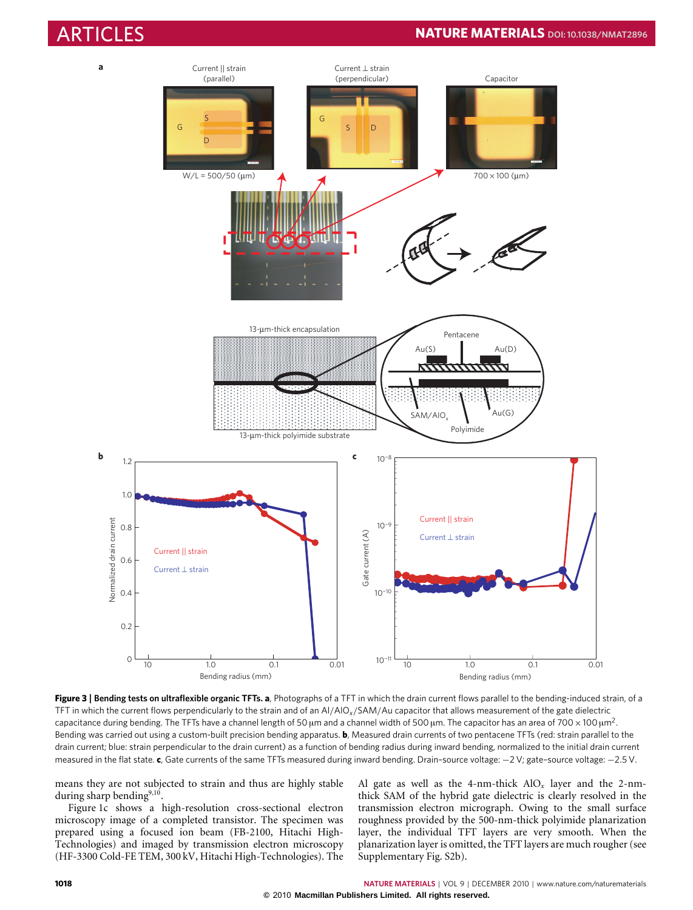# ARTICLES **NATURE MATERIALS DOI[:10.1038/NMAT2896](http://www.nature.com/doifinder/10.1038/nmat2896)**



<span id="page-3-0"></span>Figure 3 | Bending tests on ultraflexible organic TFTs. a, Photographs of a TFT in which the drain current flows parallel to the bending-induced strain, of a TFT in which the current flows perpendicularly to the strain and of an Al/AlO*x*/SAM/Au capacitor that allows measurement of the gate dielectric capacitance during bending. The TFTs have a channel length of 50 µm and a channel width of 500 µm. The capacitor has an area of 700 × 100 µm<sup>2</sup>. Bending was carried out using a custom-built precision bending apparatus. **b**, Measured drain currents of two pentacene TFTs (red: strain parallel to the drain current; blue: strain perpendicular to the drain current) as a function of bending radius during inward bending, normalized to the initial drain current measured in the flat state. **c**, Gate currents of the same TFTs measured during inward bending. Drain–source voltage: −2 V; gate–source voltage: −2.5 V.

means they are not subjected to strain and thus are highly stable during sharp bending<sup>[9,](#page-6-4)[10](#page-6-9)</sup>.

[Figure](#page-1-1) [1c](#page-1-1) shows a high-resolution cross-sectional electron microscopy image of a completed transistor. The specimen was prepared using a focused ion beam (FB-2100, Hitachi High-Technologies) and imaged by transmission electron microscopy (HF-3300 Cold-FE TEM, 300 kV, Hitachi High-Technologies). The Al gate as well as the 4-nm-thick  $AIO_x$  layer and the 2-nmthick SAM of the hybrid gate dielectric is clearly resolved in the transmission electron micrograph. Owing to the small surface roughness provided by the 500-nm-thick polyimide planarization layer, the individual TFT layers are very smooth. When the planarization layer is omitted, the TFT layers are much rougher (see Supplementary Fig. S2b).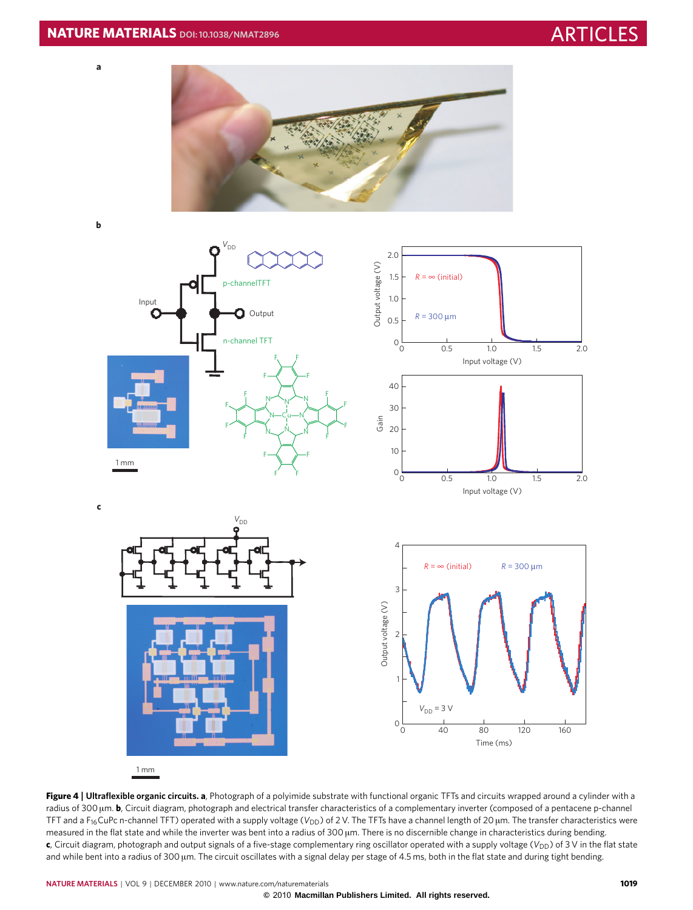

**b**

**a**



<span id="page-4-0"></span>**Figure 4** | **Ultraflexible organic circuits. a**, Photograph of a polyimide substrate with functional organic TFTs and circuits wrapped around a cylinder with a radius of 300 µm. **b**, Circuit diagram, photograph and electrical transfer characteristics of a complementary inverter (composed of a pentacene p-channel TFT and a F<sub>16</sub>CuPc n-channel TFT) operated with a supply voltage (V<sub>DD</sub>) of 2 V. The TFTs have a channel length of 20 µm. The transfer characteristics were measured in the flat state and while the inverter was bent into a radius of 300 µm. There is no discernible change in characteristics during bending. **c**, Circuit diagram, photograph and output signals of a five-stage complementary ring oscillator operated with a supply voltage (V<sub>DD</sub>) of 3 V in the flat state and while bent into a radius of 300 µm. The circuit oscillates with a signal delay per stage of 4.5 ms, both in the flat state and during tight bending.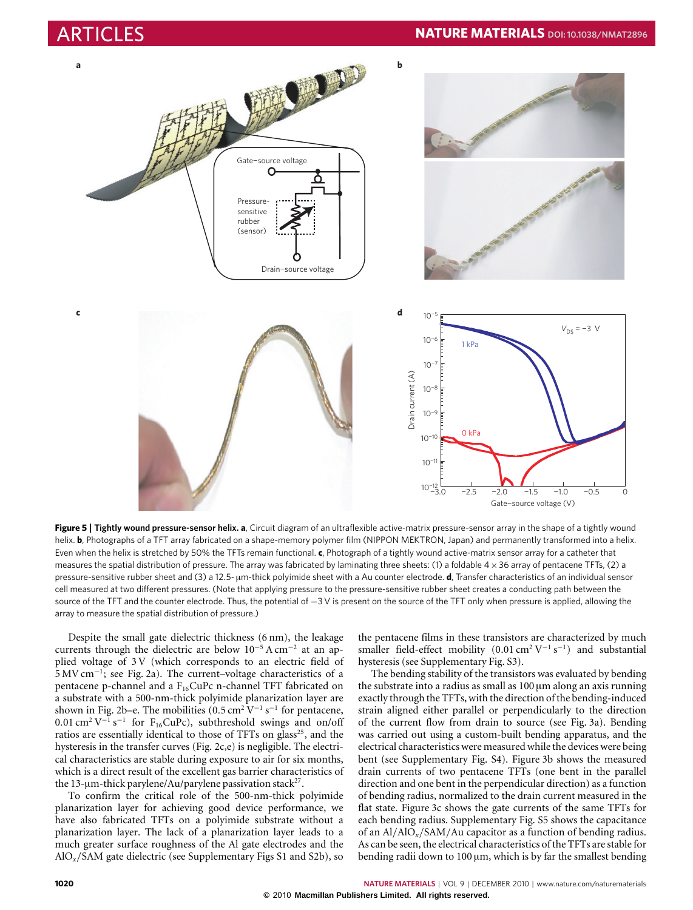

<span id="page-5-0"></span>**Figure 5** | **Tightly wound pressure-sensor helix. a**, Circuit diagram of an ultraflexible active-matrix pressure-sensor array in the shape of a tightly wound helix. **b**, Photographs of a TFT array fabricated on a shape-memory polymer film (NIPPON MEKTRON, Japan) and permanently transformed into a helix. Even when the helix is stretched by 50% the TFTs remain functional. **c**, Photograph of a tightly wound active-matrix sensor array for a catheter that measures the spatial distribution of pressure. The array was fabricated by laminating three sheets: (1) a foldable 4 × 36 array of pentacene TFTs, (2) a pressure-sensitive rubber sheet and (3) a 12.5- µm-thick polyimide sheet with a Au counter electrode. **d**, Transfer characteristics of an individual sensor cell measured at two different pressures. (Note that applying pressure to the pressure-sensitive rubber sheet creates a conducting path between the source of the TFT and the counter electrode. Thus, the potential of −3 V is present on the source of the TFT only when pressure is applied, allowing the array to measure the spatial distribution of pressure.)

Despite the small gate dielectric thickness (6 nm), the leakage currents through the dielectric are below 10<sup>−</sup><sup>5</sup> A cm<sup>−</sup><sup>2</sup> at an applied voltage of 3 V (which corresponds to an electric field of 5 MV cm<sup>−</sup><sup>1</sup> ; see [Fig.](#page-2-0) [2a](#page-2-0)). The current–voltage characteristics of a pentacene p-channel and a F<sub>16</sub>CuPc n-channel TFT fabricated on a substrate with a 500-nm-thick polyimide planarization layer are shown in [Fig.](#page-2-0) [2b](#page-2-0)–e. The mobilities  $(0.5 \text{ cm}^2 \text{ V}^{-1} \text{ s}^{-1}$  for pentacene,  $0.01 \text{ cm}^2 \text{ V}^{-1} \text{ s}^{-1}$  for F<sub>16</sub>CuPc), subthreshold swings and on/off ratios are essentially identical to those of TFTs on glass<sup>[25](#page-7-3)</sup>, and the hysteresis in the transfer curves [\(Fig.](#page-2-0) [2c](#page-2-0),e) is negligible. The electrical characteristics are stable during exposure to air for six months, which is a direct result of the excellent gas barrier characteristics of the 13-µm-thick parylene/Au/parylene passivation stack<sup>[27](#page-7-2)</sup>.

To confirm the critical role of the 500-nm-thick polyimide planarization layer for achieving good device performance, we have also fabricated TFTs on a polyimide substrate without a planarization layer. The lack of a planarization layer leads to a much greater surface roughness of the Al gate electrodes and the AlO*x*/SAM gate dielectric (see Supplementary Figs S1 and S2b), so the pentacene films in these transistors are characterized by much smaller field-effect mobility  $(0.01 \text{ cm}^2 \text{ V}^{-1} \text{ s}^{-1})$  and substantial hysteresis (see Supplementary Fig. S3).

The bending stability of the transistors was evaluated by bending the substrate into a radius as small as  $100 \mu m$  along an axis running exactly through the TFTs, with the direction of the bending-induced strain aligned either parallel or perpendicularly to the direction of the current flow from drain to source (see [Fig.](#page-3-0) [3a](#page-3-0)). Bending was carried out using a custom-built bending apparatus, and the electrical characteristics were measured while the devices were being bent (see Supplementary Fig. S4). [Figure](#page-3-0) [3b](#page-3-0) shows the measured drain currents of two pentacene TFTs (one bent in the parallel direction and one bent in the perpendicular direction) as a function of bending radius, normalized to the drain current measured in the flat state. [Figure](#page-3-0) [3c](#page-3-0) shows the gate currents of the same TFTs for each bending radius. Supplementary Fig. S5 shows the capacitance of an Al/AlO*x*/SAM/Au capacitor as a function of bending radius. As can be seen, the electrical characteristics of the TFTs are stable for bending radii down to  $100 \mu m$ , which is by far the smallest bending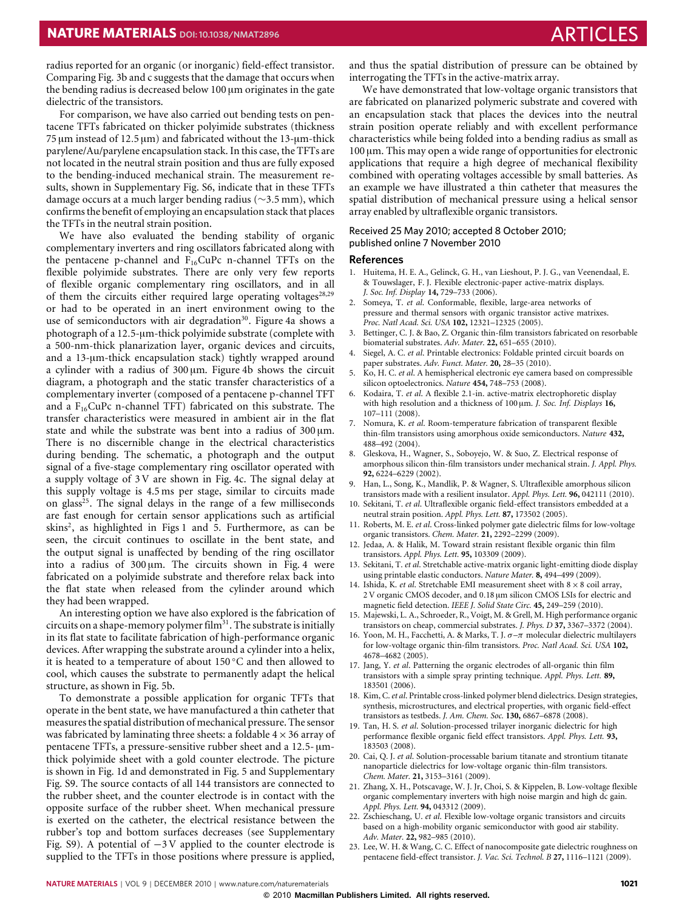radius reported for an organic (or inorganic) field-effect transistor. Comparing [Fig.](#page-3-0) [3b](#page-3-0) and c suggests that the damage that occurs when the bending radius is decreased below 100 µm originates in the gate dielectric of the transistors.

For comparison, we have also carried out bending tests on pentacene TFTs fabricated on thicker polyimide substrates (thickness  $75 \mu m$  instead of 12.5  $\mu m$ ) and fabricated without the 13- $\mu m$ -thick parylene/Au/parylene encapsulation stack. In this case, the TFTs are not located in the neutral strain position and thus are fully exposed to the bending-induced mechanical strain. The measurement results, shown in Supplementary Fig. S6, indicate that in these TFTs damage occurs at a much larger bending radius (∼3.5 mm), which confirms the benefit of employing an encapsulation stack that places the TFTs in the neutral strain position.

We have also evaluated the bending stability of organic complementary inverters and ring oscillators fabricated along with the pentacene p-channel and  $F_{16}CuPc$  n-channel TFTs on the flexible polyimide substrates. There are only very few reports of flexible organic complementary ring oscillators, and in all of them the circuits either required large operating voltages<sup>[28](#page-7-4)[,29](#page-7-5)</sup> or had to be operated in an inert environment owing to the use of semiconductors with air degradation<sup>[30](#page-7-6)</sup>. [Figure](#page-4-0) [4a](#page-4-0) shows a photograph of a 12.5-µm-thick polyimide substrate (complete with a 500-nm-thick planarization layer, organic devices and circuits, and a 13-µm-thick encapsulation stack) tightly wrapped around a cylinder with a radius of 300 µm. [Figure](#page-4-0) [4b](#page-4-0) shows the circuit diagram, a photograph and the static transfer characteristics of a complementary inverter (composed of a pentacene p-channel TFT and a  $F_{16}CuPc$  n-channel TFT) fabricated on this substrate. The transfer characteristics were measured in ambient air in the flat state and while the substrate was bent into a radius of  $300 \mu m$ . There is no discernible change in the electrical characteristics during bending. The schematic, a photograph and the output signal of a five-stage complementary ring oscillator operated with a supply voltage of 3 V are shown in [Fig.](#page-4-0) [4c](#page-4-0). The signal delay at this supply voltage is 4.5 ms per stage, similar to circuits made on glass<sup>[25](#page-7-3)</sup>. The signal delays in the range of a few milliseconds are fast enough for certain sensor applications such as artificial skins<sup>[2](#page-6-5)</sup>, as highlighted in [Figs](#page-1-1) [1](#page-1-1) and [5.](#page-5-0) Furthermore, as can be seen, the circuit continues to oscillate in the bent state, and the output signal is unaffected by bending of the ring oscillator into a radius of 300 µm. The circuits shown in [Fig.](#page-4-0) [4](#page-4-0) were fabricated on a polyimide substrate and therefore relax back into the flat state when released from the cylinder around which they had been wrapped.

An interesting option we have also explored is the fabrication of circuits on a shape-memory polymer  $film<sup>31</sup>$  $film<sup>31</sup>$  $film<sup>31</sup>$ . The substrate is initially in its flat state to facilitate fabrication of high-performance organic devices. After wrapping the substrate around a cylinder into a helix, it is heated to a temperature of about 150 ◦C and then allowed to cool, which causes the substrate to permanently adapt the helical structure, as shown in [Fig.](#page-5-0) [5b](#page-5-0).

To demonstrate a possible application for organic TFTs that operate in the bent state, we have manufactured a thin catheter that measures the spatial distribution of mechanical pressure. The sensor was fabricated by laminating three sheets: a foldable  $4 \times 36$  array of pentacene TFTs, a pressure-sensitive rubber sheet and a 12.5-umthick polyimide sheet with a gold counter electrode. The picture is shown in [Fig.](#page-1-1) [1d](#page-1-1) and demonstrated in [Fig.](#page-5-0) [5](#page-5-0) and Supplementary Fig. S9. The source contacts of all 144 transistors are connected to the rubber sheet, and the counter electrode is in contact with the opposite surface of the rubber sheet. When mechanical pressure is exerted on the catheter, the electrical resistance between the rubber's top and bottom surfaces decreases (see Supplementary Fig. S9). A potential of −3 V applied to the counter electrode is supplied to the TFTs in those positions where pressure is applied, and thus the spatial distribution of pressure can be obtained by interrogating the TFTs in the active-matrix array.

We have demonstrated that low-voltage organic transistors that are fabricated on planarized polymeric substrate and covered with an encapsulation stack that places the devices into the neutral strain position operate reliably and with excellent performance characteristics while being folded into a bending radius as small as  $100 \mu$ m. This may open a wide range of opportunities for electronic applications that require a high degree of mechanical flexibility combined with operating voltages accessible by small batteries. As an example we have illustrated a thin catheter that measures the spatial distribution of mechanical pressure using a helical sensor array enabled by ultraflexible organic transistors.

### Received 25 May 2010; accepted 8 October 2010; published online 7 November 2010

### **References**

- <span id="page-6-0"></span>1. Huitema, H. E. A., Gelinck, G. H., van Lieshout, P. J. G., van Veenendaal, E. & Touwslager, F. J. Flexible electronic-paper active-matrix displays. *J. Soc. Inf. Display* **14,** 729–733 (2006).
- <span id="page-6-5"></span>2. Someya, T. *et al*. Conformable, flexible, large-area networks of pressure and thermal sensors with organic transistor active matrixes. *Proc. Natl Acad. Sci. USA* **102,** 12321–12325 (2005).
- Bettinger, C. J. & Bao, Z. Organic thin-film transistors fabricated on resorbable biomaterial substrates. *Adv. Mater.* **22,** 651–655 (2010).
- 4. Siegel, A. C. *et al*. Printable electronics: Foldable printed circuit boards on paper substrates. *Adv. Funct. Mater.* **20,** 28–35 (2010).
- 5. Ko, H. C. *et al*. A hemispherical electronic eye camera based on compressible silicon optoelectronics. *Nature* **454,** 748–753 (2008).
- <span id="page-6-2"></span>6. Kodaira, T. *et al*. A flexible 2.1-in. active-matrix electrophoretic display with high resolution and a thickness of 100 µm. *J. Soc. Inf. Displays* **16,** 107–111 (2008).
- <span id="page-6-7"></span>7. Nomura, K. *et al*. Room-temperature fabrication of transparent flexible thin-film transistors using amorphous oxide semiconductors. *Nature* **432,** 488–492 (2004).
- <span id="page-6-8"></span>8. Gleskova, H., Wagner, S., Soboyejo, W. & Suo, Z. Electrical response of amorphous silicon thin-film transistors under mechanical strain. *J. Appl. Phys.* **92,** 6224–6229 (2002).
- <span id="page-6-4"></span>Han, L., Song, K., Mandlik, P. & Wagner, S. Ultraflexible amorphous silicon transistors made with a resilient insulator. *Appl. Phys. Lett.* **96,** 042111 (2010).
- <span id="page-6-9"></span>10. Sekitani, T. *et al*. Ultraflexible organic field-effect transistors embedded at a neutral strain position. *Appl. Phys. Lett.* **87,** 173502 (2005).
- 11. Roberts, M. E. *et al*. Cross-linked polymer gate dielectric films for low-voltage organic transistors. *Chem. Mater.* **21,** 2292–2299 (2009).
- <span id="page-6-3"></span>12. Jedaa, A. & Halik, M. Toward strain resistant flexible organic thin film transistors. *Appl. Phys. Lett.* **95,** 103309 (2009).
- 13. Sekitani, T. *et al*. Stretchable active-matrix organic light-emitting diode display using printable elastic conductors. *Nature Mater.* **8,** 494–499 (2009).
- 14. Ishida, K. *et al*. Stretchable EMI measurement sheet with 8×8 coil array, 2 V organic CMOS decoder, and 0.18 µm silicon CMOS LSIs for electric and magnetic field detection. *IEEE J. Solid State Circ.* **45,** 249–259 (2010).
- 15. Majewski, L. A., Schroeder, R., Voigt, M. & Grell, M. High performance organic transistors on cheap, commercial substrates. *J. Phys. D* **37,** 3367–3372 (2004).
- 16. Yoon, M. H., Facchetti, A. & Marks, T. J.  $\sigma-\pi$  molecular dielectric multilayers for low-voltage organic thin-film transistors. *Proc. Natl Acad. Sci. USA* **102,** 4678–4682 (2005).
- 17. Jang, Y. *et al*. Patterning the organic electrodes of all-organic thin film transistors with a simple spray printing technique. *Appl. Phys. Lett.* **89,** 183501 (2006).
- 18. Kim, C.*et al*. Printable cross-linked polymer blend dielectrics. Design strategies, synthesis, microstructures, and electrical properties, with organic field-effect transistors as testbeds. *J. Am. Chem. Soc.* **130,** 6867–6878 (2008).
- 19. Tan, H. S. *et al*. Solution-processed trilayer inorganic dielectric for high performance flexible organic field effect transistors. *Appl. Phys. Lett.* **93,** 183503 (2008).
- 20. Cai, Q. J. *et al*. Solution-processable barium titanate and strontium titanate nanoparticle dielectrics for low-voltage organic thin-film transistors. *Chem. Mater.* **21,** 3153–3161 (2009).
- 21. Zhang, X. H., Potscavage, W. J. Jr, Choi, S. & Kippelen, B. Low-voltage flexible organic complementary inverters with high noise margin and high dc gain. *Appl. Phys. Lett.* **94,** 043312 (2009).
- <span id="page-6-1"></span>22. Zschieschang, U. *et al*. Flexible low-voltage organic transistors and circuits based on a high-mobility organic semiconductor with good air stability. *Adv. Mater.* **22,** 982–985 (2010).
- <span id="page-6-6"></span>23. Lee, W. H. & Wang, C. C. Effect of nanocomposite gate dielectric roughness on pentacene field-effect transistor. *J. Vac. Sci. Technol. B* **27,** 1116–1121 (2009).